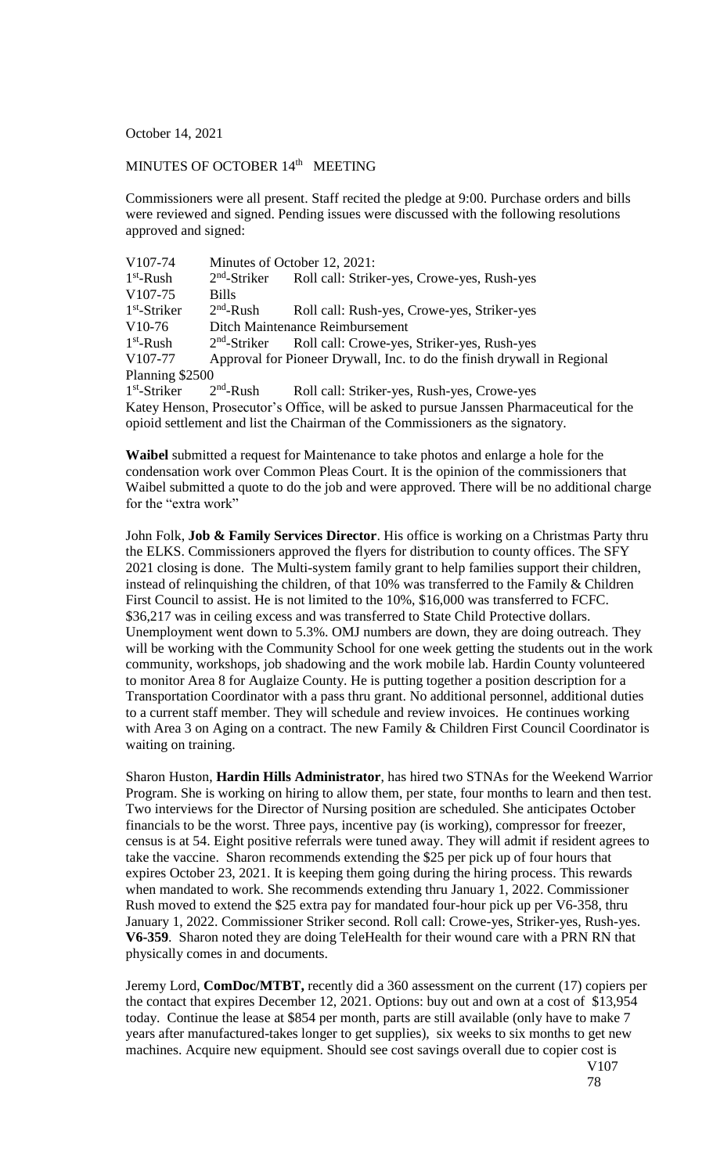October 14, 2021

## MINUTES OF OCTOBER 14<sup>th</sup> MEETING

Commissioners were all present. Staff recited the pledge at 9:00. Purchase orders and bills were reviewed and signed. Pending issues were discussed with the following resolutions approved and signed:

| V107-74              |                                 | Minutes of October 12, 2021:                                                             |  |
|----------------------|---------------------------------|------------------------------------------------------------------------------------------|--|
| $1st$ -Rush          | $2nd$ -Striker                  | Roll call: Striker-yes, Crowe-yes, Rush-yes                                              |  |
| V <sub>107</sub> -75 | <b>Bills</b>                    |                                                                                          |  |
| $1st$ -Striker       | $2nd$ -Rush                     | Roll call: Rush-yes, Crowe-yes, Striker-yes                                              |  |
| $V10-76$             | Ditch Maintenance Reimbursement |                                                                                          |  |
| $1st$ -Rush          | $2nd$ -Striker                  | Roll call: Crowe-yes, Striker-yes, Rush-yes                                              |  |
| V <sub>107</sub> -77 |                                 | Approval for Pioneer Drywall, Inc. to do the finish drywall in Regional                  |  |
| Planning \$2500      |                                 |                                                                                          |  |
| $1st$ -Striker       | $2nd$ -Rush                     | Roll call: Striker-yes, Rush-yes, Crowe-yes                                              |  |
|                      |                                 | Katey Henson, Prosecutor's Office, will be asked to pursue Janssen Pharmaceutical for th |  |

y Henson, Prosecutor's Office, will be asked to pursue Janssen Pharmaceutical for the opioid settlement and list the Chairman of the Commissioners as the signatory.

**Waibel** submitted a request for Maintenance to take photos and enlarge a hole for the condensation work over Common Pleas Court. It is the opinion of the commissioners that Waibel submitted a quote to do the job and were approved. There will be no additional charge for the "extra work"

John Folk, **Job & Family Services Director**. His office is working on a Christmas Party thru the ELKS. Commissioners approved the flyers for distribution to county offices. The SFY 2021 closing is done. The Multi-system family grant to help families support their children, instead of relinquishing the children, of that  $10\%$  was transferred to the Family  $\&$  Children First Council to assist. He is not limited to the 10%, \$16,000 was transferred to FCFC. \$36,217 was in ceiling excess and was transferred to State Child Protective dollars. Unemployment went down to 5.3%. OMJ numbers are down, they are doing outreach. They will be working with the Community School for one week getting the students out in the work community, workshops, job shadowing and the work mobile lab. Hardin County volunteered to monitor Area 8 for Auglaize County. He is putting together a position description for a Transportation Coordinator with a pass thru grant. No additional personnel, additional duties to a current staff member. They will schedule and review invoices. He continues working with Area 3 on Aging on a contract. The new Family & Children First Council Coordinator is waiting on training.

Sharon Huston, **Hardin Hills Administrator**, has hired two STNAs for the Weekend Warrior Program. She is working on hiring to allow them, per state, four months to learn and then test. Two interviews for the Director of Nursing position are scheduled. She anticipates October financials to be the worst. Three pays, incentive pay (is working), compressor for freezer, census is at 54. Eight positive referrals were tuned away. They will admit if resident agrees to take the vaccine. Sharon recommends extending the \$25 per pick up of four hours that expires October 23, 2021. It is keeping them going during the hiring process. This rewards when mandated to work. She recommends extending thru January 1, 2022. Commissioner Rush moved to extend the \$25 extra pay for mandated four-hour pick up per V6-358, thru January 1, 2022. Commissioner Striker second. Roll call: Crowe-yes, Striker-yes, Rush-yes. **V6-359**. Sharon noted they are doing TeleHealth for their wound care with a PRN RN that physically comes in and documents.

Jeremy Lord, **ComDoc/MTBT,** recently did a 360 assessment on the current (17) copiers per the contact that expires December 12, 2021. Options: buy out and own at a cost of \$13,954 today. Continue the lease at \$854 per month, parts are still available (only have to make 7 years after manufactured-takes longer to get supplies), six weeks to six months to get new machines. Acquire new equipment. Should see cost savings overall due to copier cost is